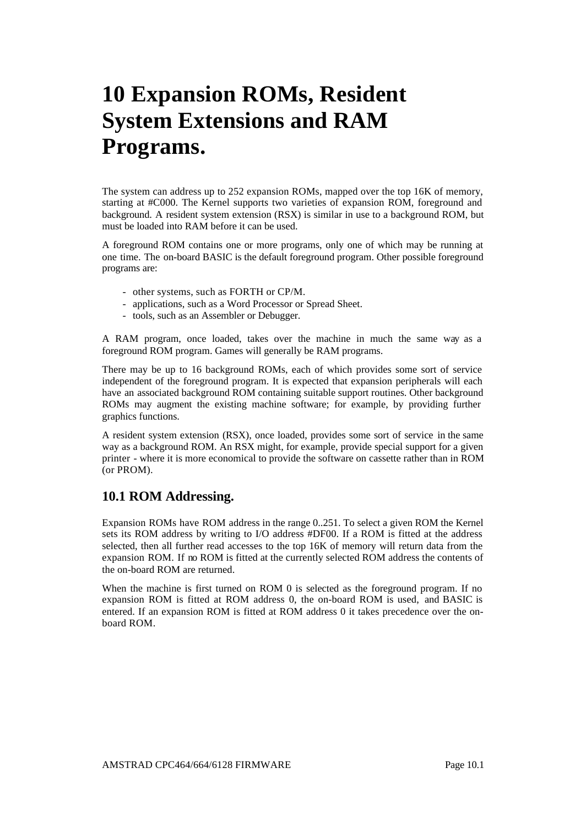# **10 Expansion ROMs, Resident System Extensions and RAM Programs.**

The system can address up to 252 expansion ROMs, mapped over the top 16K of memory, starting at #C000. The Kernel supports two varieties of expansion ROM, foreground and background. A resident system extension (RSX) is similar in use to a background ROM, but must be loaded into RAM before it can be used.

A foreground ROM contains one or more programs, only one of which may be running at one time. The on-board BASIC is the default foreground program. Other possible foreground programs are:

- other systems, such as FORTH or CP/M.
- applications, such as a Word Processor or Spread Sheet.
- tools, such as an Assembler or Debugger.

A RAM program, once loaded, takes over the machine in much the same way as a foreground ROM program. Games will generally be RAM programs.

There may be up to 16 background ROMs, each of which provides some sort of service independent of the foreground program. It is expected that expansion peripherals will each have an associated background ROM containing suitable support routines. Other background ROMs may augment the existing machine software; for example, by providing further graphics functions.

A resident system extension (RSX), once loaded, provides some sort of service in the same way as a background ROM. An RSX might, for example, provide special support for a given printer - where it is more economical to provide the software on cassette rather than in ROM (or PROM).

# **10.1 ROM Addressing.**

Expansion ROMs have ROM address in the range 0..251. To select a given ROM the Kernel sets its ROM address by writing to I/O address #DF00. If a ROM is fitted at the address selected, then all further read accesses to the top 16K of memory will return data from the expansion ROM. If no ROM is fitted at the currently selected ROM address the contents of the on-board ROM are returned.

When the machine is first turned on ROM 0 is selected as the foreground program. If no expansion ROM is fitted at ROM address 0, the on-board ROM is used, and BASIC is entered. If an expansion ROM is fitted at ROM address 0 it takes precedence over the onboard ROM.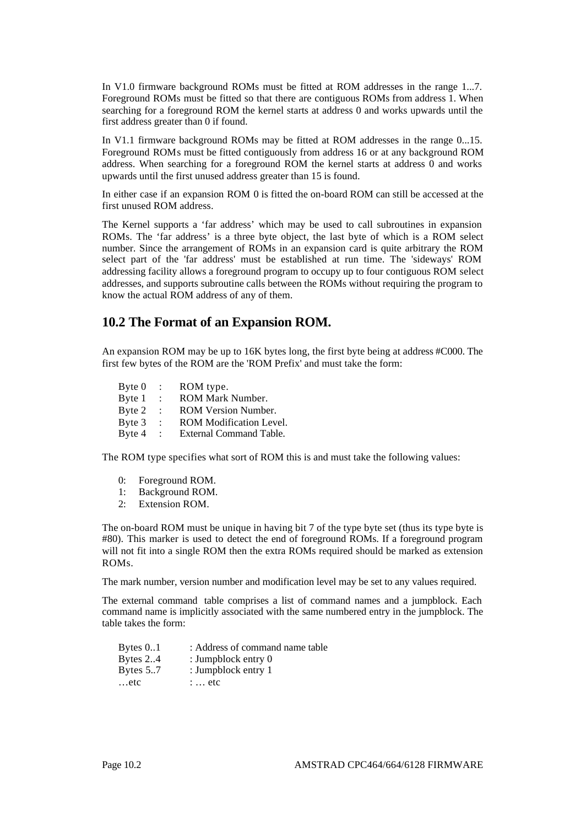In V1.0 firmware background ROMs must be fitted at ROM addresses in the range 1...7. Foreground ROMs must be fitted so that there are contiguous ROMs from address 1. When searching for a foreground ROM the kernel starts at address 0 and works upwards until the first address greater than 0 if found.

In V1.1 firmware background ROMs may be fitted at ROM addresses in the range 0...15. Foreground ROMs must be fitted contiguously from address 16 or at any background ROM address. When searching for a foreground ROM the kernel starts at address 0 and works upwards until the first unused address greater than 15 is found.

In either case if an expansion ROM 0 is fitted the on-board ROM can still be accessed at the first unused ROM address.

The Kernel supports a 'far address' which may be used to call subroutines in expansion ROMs. The 'far address' is a three byte object, the last byte of which is a ROM select number. Since the arrangement of ROMs in an expansion card is quite arbitrary the ROM select part of the 'far address' must be established at run time. The 'sideways' ROM addressing facility allows a foreground program to occupy up to four contiguous ROM select addresses, and supports subroutine calls between the ROMs without requiring the program to know the actual ROM address of any of them.

# **10.2 The Format of an Expansion ROM.**

An expansion ROM may be up to 16K bytes long, the first byte being at address #C000. The first few bytes of the ROM are the 'ROM Prefix' and must take the form:

Byte 0 : ROM type. Byte 1 : ROM Mark Number. Byte 2 : ROM Version Number. Byte 3 : ROM Modification Level.<br>Byte 4 : External Command Table. External Command Table.

The ROM type specifies what sort of ROM this is and must take the following values:

- 0: Foreground ROM.
- 1: Background ROM.
- 2: Extension ROM.

The on-board ROM must be unique in having bit 7 of the type byte set (thus its type byte is #80). This marker is used to detect the end of foreground ROMs. If a foreground program will not fit into a single ROM then the extra ROMs required should be marked as extension ROMs.

The mark number, version number and modification level may be set to any values required.

The external command table comprises a list of command names and a jumpblock. Each command name is implicitly associated with the same numbered entry in the jumpblock. The table takes the form:

| Bytes $0.1$ | : Address of command name table |
|-------------|---------------------------------|
| Bytes $2.4$ | : Jumpblock entry 0             |
| Bytes $5.7$ | : Jumpblock entry 1             |
| etc         | $\therefore$ etc.               |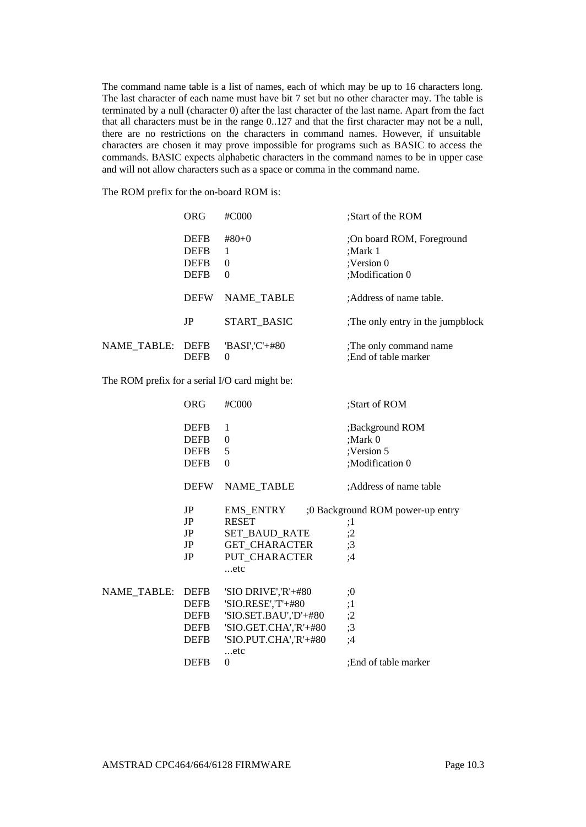The command name table is a list of names, each of which may be up to 16 characters long. The last character of each name must have bit 7 set but no other character may. The table is terminated by a null (character 0) after the last character of the last name. Apart from the fact that all characters must be in the range 0..127 and that the first character may not be a null, there are no restrictions on the characters in command names. However, if unsuitable characters are chosen it may prove impossible for programs such as BASIC to access the commands. BASIC expects alphabetic characters in the command names to be in upper case and will not allow characters such as a space or comma in the command name.

The ROM prefix for the on-board ROM is:

|             | ORG                                                      | $\#C000$                             | :Start of the ROM                                                     |
|-------------|----------------------------------------------------------|--------------------------------------|-----------------------------------------------------------------------|
|             | <b>DEFB</b><br><b>DEFB</b><br><b>DEFB</b><br><b>DEFB</b> | $#80+0$<br>1<br>$\Omega$<br>$\Omega$ | :On board ROM, Foreground<br>:Mark 1<br>:Version 0<br>:Modification 0 |
|             | <b>DEFW</b>                                              | <b>NAME TABLE</b>                    | :Address of name table.                                               |
|             | JP                                                       | START BASIC                          | The only entry in the jumpblock                                       |
| NAME TABLE: | <b>DEFB</b><br><b>DEFB</b>                               | 'BASI','C'+#80<br>$\Omega$           | The only command name<br>:End of table marker                         |

The ROM prefix for a serial I/O card might be:

|             | ORG                                                      | #C000                                                                                                                       | :Start of ROM                                               |
|-------------|----------------------------------------------------------|-----------------------------------------------------------------------------------------------------------------------------|-------------------------------------------------------------|
|             | <b>DEFB</b><br><b>DEFB</b><br><b>DEFB</b><br><b>DEFB</b> | 1<br>$\Omega$<br>5<br>$\Omega$                                                                                              | ;Background ROM<br>:Mark 0<br>:Version 5<br>;Modification 0 |
|             | <b>DEFW</b>                                              | NAME_TABLE                                                                                                                  | :Address of name table                                      |
|             | JP<br>JP<br>JP<br>JP<br>JP                               | EMS ENTRY<br><b>RESET</b><br>SET BAUD RATE<br><b>GET CHARACTER</b><br>PUT_CHARACTER<br>etc                                  | :0 Background ROM power-up entry<br>:1<br>;2<br>;3<br>;4    |
| NAME TABLE: | DEFB<br>DEFB<br>DEFB<br>DEFB<br>DEFB                     | 'SIO DRIVE','R'+#80<br>'SIO.RESE','T'+#80<br>'SIO.SET.BAU','D'+#80<br>'SIO.GET.CHA','R'+#80<br>'SIO.PUT.CHA','R'+#80<br>etc | :0<br>;1<br>;2<br>;3<br>:4                                  |
|             | <b>DEFB</b>                                              | $\Omega$                                                                                                                    | :End of table marker                                        |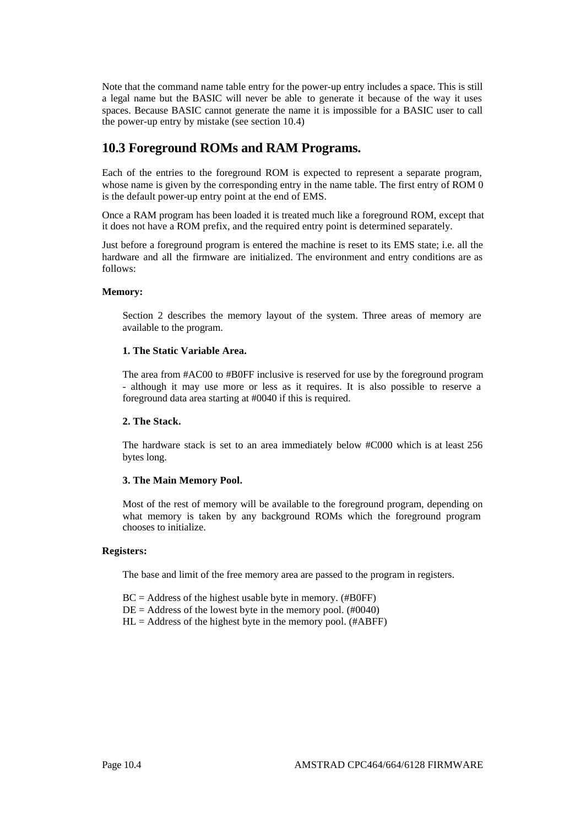Note that the command name table entry for the power-up entry includes a space. This is still a legal name but the BASIC will never be able to generate it because of the way it uses spaces. Because BASIC cannot generate the name it is impossible for a BASIC user to call the power-up entry by mistake (see section 10.4)

# **10.3 Foreground ROMs and RAM Programs.**

Each of the entries to the foreground ROM is expected to represent a separate program, whose name is given by the corresponding entry in the name table. The first entry of ROM 0 is the default power-up entry point at the end of EMS.

Once a RAM program has been loaded it is treated much like a foreground ROM, except that it does not have a ROM prefix, and the required entry point is determined separately.

Just before a foreground program is entered the machine is reset to its EMS state; i.e. all the hardware and all the firmware are initialized. The environment and entry conditions are as follows:

# **Memory:**

Section 2 describes the memory layout of the system. Three areas of memory are available to the program.

# **1. The Static Variable Area.**

The area from #AC00 to #B0FF inclusive is reserved for use by the foreground program - although it may use more or less as it requires. It is also possible to reserve a foreground data area starting at #0040 if this is required.

# **2. The Stack.**

The hardware stack is set to an area immediately below #C000 which is at least 256 bytes long.

## **3. The Main Memory Pool.**

Most of the rest of memory will be available to the foreground program, depending on what memory is taken by any background ROMs which the foreground program chooses to initialize.

## **Registers:**

The base and limit of the free memory area are passed to the program in registers.

 $BC = Address$  of the highest usable byte in memory. (#B0FF)

- $DE = Address$  of the lowest byte in the memory pool. (#0040)
- $HL = Address$  of the highest byte in the memory pool. (#ABFF)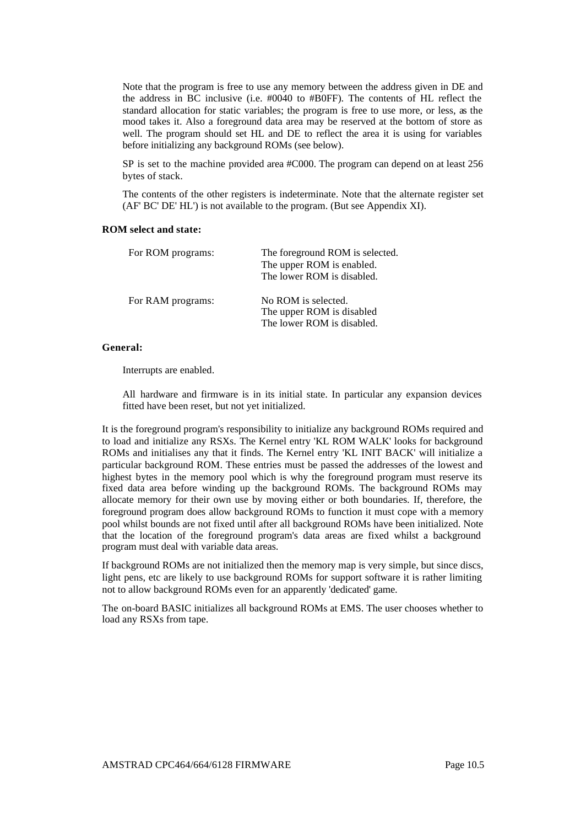Note that the program is free to use any memory between the address given in DE and the address in BC inclusive (i.e. #0040 to #B0FF). The contents of HL reflect the standard allocation for static variables; the program is free to use more, or less, as the mood takes it. Also a foreground data area may be reserved at the bottom of store as well. The program should set HL and DE to reflect the area it is using for variables before initializing any background ROMs (see below).

SP is set to the machine provided area #C000. The program can depend on at least 256 bytes of stack.

The contents of the other registers is indeterminate. Note that the alternate register set (AF' BC' DE' HL') is not available to the program. (But see Appendix XI).

# **ROM select and state:**

| For ROM programs: | The foreground ROM is selected. |  |  |
|-------------------|---------------------------------|--|--|
|                   | The upper ROM is enabled.       |  |  |
|                   | The lower ROM is disabled.      |  |  |
| For RAM programs: | No ROM is selected.             |  |  |
|                   | The upper ROM is disabled       |  |  |
|                   | The lower ROM is disabled.      |  |  |

# **General:**

Interrupts are enabled.

All hardware and firmware is in its initial state. In particular any expansion devices fitted have been reset, but not yet initialized.

It is the foreground program's responsibility to initialize any background ROMs required and to load and initialize any RSXs. The Kernel entry 'KL ROM WALK' looks for background ROMs and initialises any that it finds. The Kernel entry 'KL INIT BACK' will initialize a particular background ROM. These entries must be passed the addresses of the lowest and highest bytes in the memory pool which is why the foreground program must reserve its fixed data area before winding up the background ROMs. The background ROMs may allocate memory for their own use by moving either or both boundaries. If, therefore, the foreground program does allow background ROMs to function it must cope with a memory pool whilst bounds are not fixed until after all background ROMs have been initialized. Note that the location of the foreground program's data areas are fixed whilst a background program must deal with variable data areas.

If background ROMs are not initialized then the memory map is very simple, but since discs, light pens, etc are likely to use background ROMs for support software it is rather limiting not to allow background ROMs even for an apparently 'dedicated' game.

The on-board BASIC initializes all background ROMs at EMS. The user chooses whether to load any RSXs from tape.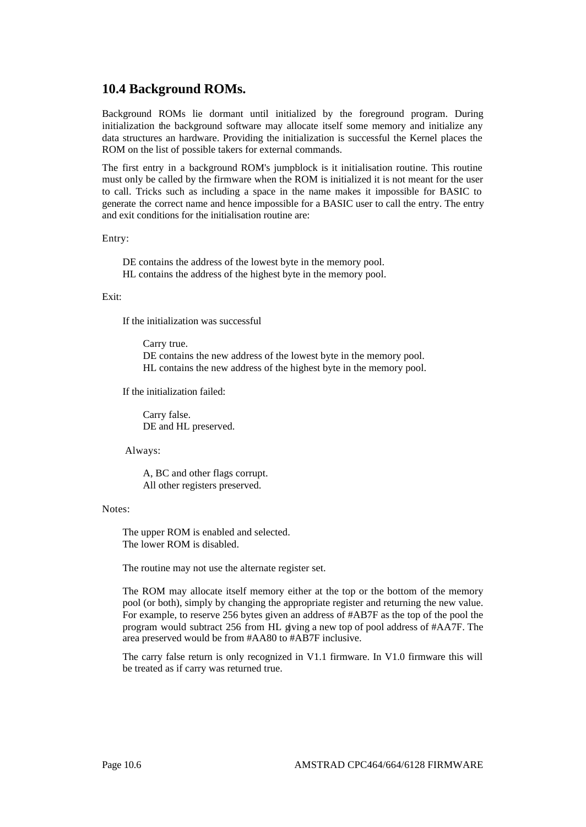# **10.4 Background ROMs.**

Background ROMs lie dormant until initialized by the foreground program. During initialization the background software may allocate itself some memory and initialize any data structures an hardware. Providing the initialization is successful the Kernel places the ROM on the list of possible takers for external commands.

The first entry in a background ROM's jumpblock is it initialisation routine. This routine must only be called by the firmware when the ROM is initialized it is not meant for the user to call. Tricks such as including a space in the name makes it impossible for BASIC to generate the correct name and hence impossible for a BASIC user to call the entry. The entry and exit conditions for the initialisation routine are:

Entry:

DE contains the address of the lowest byte in the memory pool. HL contains the address of the highest byte in the memory pool.

# Exit:

If the initialization was successful

Carry true. DE contains the new address of the lowest byte in the memory pool. HL contains the new address of the highest byte in the memory pool.

If the initialization failed:

Carry false. DE and HL preserved.

Always:

A, BC and other flags corrupt. All other registers preserved.

#### Notes:

The upper ROM is enabled and selected. The lower ROM is disabled.

The routine may not use the alternate register set.

The ROM may allocate itself memory either at the top or the bottom of the memory pool (or both), simply by changing the appropriate register and returning the new value. For example, to reserve 256 bytes given an address of #AB7F as the top of the pool the program would subtract 256 from HL giving a new top of pool address of #AA7F. The area preserved would be from #AA80 to #AB7F inclusive.

The carry false return is only recognized in V1.1 firmware. In V1.0 firmware this will be treated as if carry was returned true.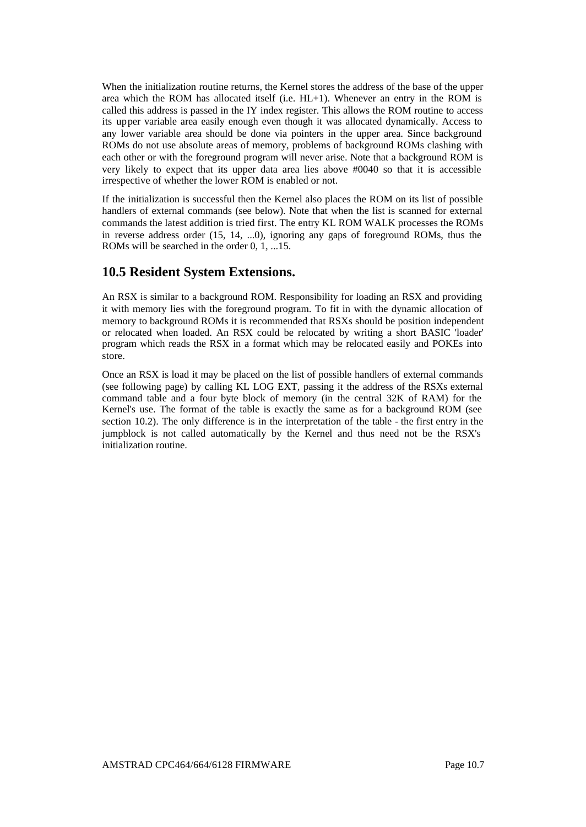When the initialization routine returns, the Kernel stores the address of the base of the upper area which the ROM has allocated itself (i.e. HL+1). Whenever an entry in the ROM is called this address is passed in the IY index register. This allows the ROM routine to access its upper variable area easily enough even though it was allocated dynamically. Access to any lower variable area should be done via pointers in the upper area. Since background ROMs do not use absolute areas of memory, problems of background ROMs clashing with each other or with the foreground program will never arise. Note that a background ROM is very likely to expect that its upper data area lies above #0040 so that it is accessible irrespective of whether the lower ROM is enabled or not.

If the initialization is successful then the Kernel also places the ROM on its list of possible handlers of external commands (see below). Note that when the list is scanned for external commands the latest addition is tried first. The entry KL ROM WALK processes the ROMs in reverse address order (15, 14, ...0), ignoring any gaps of foreground ROMs, thus the ROMs will be searched in the order 0, 1, ...15.

# **10.5 Resident System Extensions.**

An RSX is similar to a background ROM. Responsibility for loading an RSX and providing it with memory lies with the foreground program. To fit in with the dynamic allocation of memory to background ROMs it is recommended that RSXs should be position independent or relocated when loaded. An RSX could be relocated by writing a short BASIC 'loader' program which reads the RSX in a format which may be relocated easily and POKEs into store.

Once an RSX is load it may be placed on the list of possible handlers of external commands (see following page) by calling KL LOG EXT, passing it the address of the RSXs external command table and a four byte block of memory (in the central 32K of RAM) for the Kernel's use. The format of the table is exactly the same as for a background ROM (see section 10.2). The only difference is in the interpretation of the table - the first entry in the jumpblock is not called automatically by the Kernel and thus need not be the RSX's initialization routine.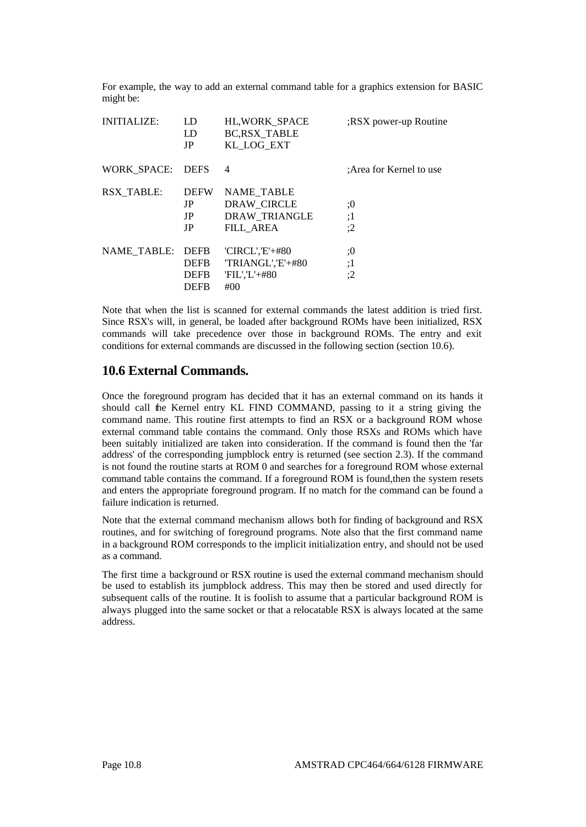For example, the way to add an external command table for a graphics extension for BASIC might be:

| <b>INITIALIZE:</b> | LD<br>LD<br>JP                                           | <b>HL, WORK SPACE</b><br><b>BC,RSX TABLE</b><br>KL LOG EXT                   | RSX power-up Routine     |
|--------------------|----------------------------------------------------------|------------------------------------------------------------------------------|--------------------------|
| WORK SPACE:        | <b>DEFS</b>                                              | 4                                                                            | : Area for Kernel to use |
| RSX TABLE:         | <b>DEFW</b><br>JP<br>JP<br>JP                            | <b>NAME TABLE</b><br>DRAW CIRCLE<br><b>DRAW TRIANGLE</b><br><b>FILL AREA</b> | :0<br>:1<br>:2           |
| NAME TABLE:        | <b>DEFB</b><br><b>DEFB</b><br><b>DEFB</b><br><b>DEFB</b> | $'CIRCL', E'+#80$<br>'TRIANGL','E'+#80<br>$FIL'.L'+#80$<br>#00               | :0<br>:1<br>:2           |

Note that when the list is scanned for external commands the latest addition is tried first. Since RSX's will, in general, be loaded after background ROMs have been initialized, RSX commands will take precedence over those in background ROMs. The entry and exit conditions for external commands are discussed in the following section (section 10.6).

# **10.6 External Commands.**

Once the foreground program has decided that it has an external command on its hands it should call the Kernel entry KL FIND COMMAND, passing to it a string giving the command name. This routine first attempts to find an RSX or a background ROM whose external command table contains the command. Only those RSXs and ROMs which have been suitably initialized are taken into consideration. If the command is found then the 'far address' of the corresponding jumpblock entry is returned (see section 2.3). If the command is not found the routine starts at ROM 0 and searches for a foreground ROM whose external command table contains the command. If a foreground ROM is found,then the system resets and enters the appropriate foreground program. If no match for the command can be found a failure indication is returned.

Note that the external command mechanism allows both for finding of background and RSX routines, and for switching of foreground programs. Note also that the first command name in a background ROM corresponds to the implicit initialization entry, and should not be used as a command.

The first time a background or RSX routine is used the external command mechanism should be used to establish its jumpblock address. This may then be stored and used directly for subsequent calls of the routine. It is foolish to assume that a particular background ROM is always plugged into the same socket or that a relocatable RSX is always located at the same address.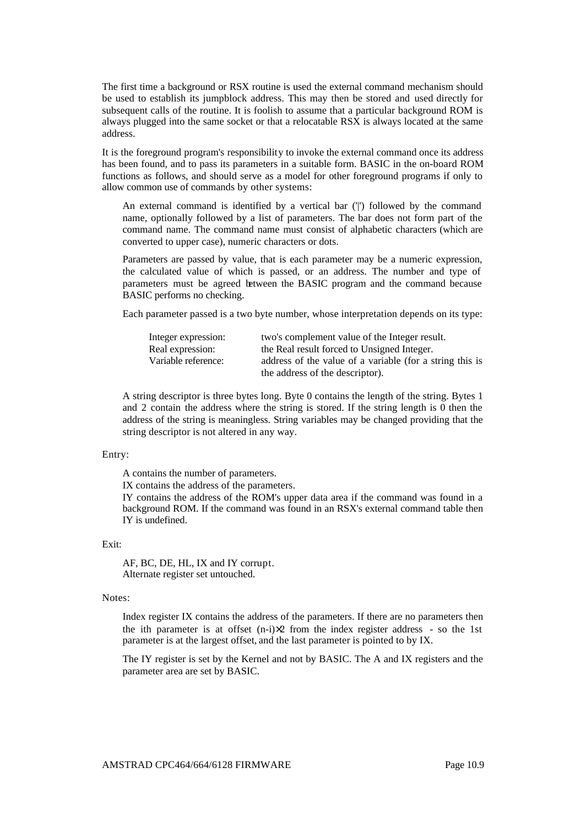The first time a background or RSX routine is used the external command mechanism should be used to establish its jumpblock address. This may then be stored and used directly for subsequent calls of the routine. It is foolish to assume that a particular background ROM is always plugged into the same socket or that a relocatable RSX is always located at the same address.

It is the foreground program's responsibility to invoke the external command once its address has been found, and to pass its parameters in a suitable form. BASIC in the on-board ROM functions as follows, and should serve as a model for other foreground programs if only to allow common use of commands by other systems:

An external command is identified by a vertical bar ('|') followed by the command name, optionally followed by a list of parameters. The bar does not form part of the command name. The command name must consist of alphabetic characters (which are converted to upper case), numeric characters or dots.

Parameters are passed by value, that is each parameter may be a numeric expression, the calculated value of which is passed, or an address. The number and type of parameters must be agreed between the BASIC program and the command because BASIC performs no checking.

Each parameter passed is a two byte number, whose interpretation depends on its type:

| Integer expression: | two's complement value of the Integer result.            |
|---------------------|----------------------------------------------------------|
| Real expression:    | the Real result forced to Unsigned Integer.              |
| Variable reference: | address of the value of a variable (for a string this is |
|                     | the address of the descriptor).                          |

A string descriptor is three bytes long. Byte 0 contains the length of the string. Bytes 1 and 2 contain the address where the string is stored. If the string length is 0 then the address of the string is meaningless. String variables may be changed providing that the string descriptor is not altered in any way.

#### Entry:

A contains the number of parameters.

IX contains the address of the parameters.

IY contains the address of the ROM's upper data area if the command was found in a background ROM. If the command was found in an RSX's external command table then IY is undefined.

## Exit:

AF, BC, DE, HL, IX and IY corrupt. Alternate register set untouched.

#### Notes:

Index register IX contains the address of the parameters. If there are no parameters then the ith parameter is at offset  $(n-i)\times 2$  from the index register address - so the 1st parameter is at the largest offset, and the last parameter is pointed to by IX.

The IY register is set by the Kernel and not by BASIC. The A and IX registers and the parameter area are set by BASIC.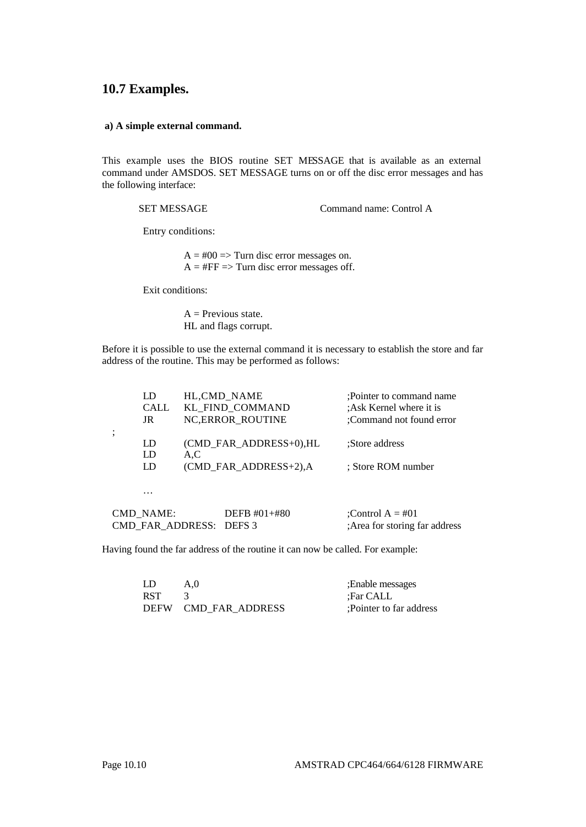# **10.7 Examples.**

### **a) A simple external command.**

This example uses the BIOS routine SET MESSAGE that is available as an external command under AMSDOS. SET MESSAGE turns on or off the disc error messages and has the following interface:

SET MESSAGE Command name: Control A

Entry conditions:

 $A = #00 \implies$  Turn disc error messages on.  $A = \# FF \Rightarrow$  Turn disc error messages off.

Exit conditions:

 $A =$  Previous state. HL and flags corrupt.

Before it is possible to use the external command it is necessary to establish the store and far address of the routine. This may be performed as follows:

| LD               |     | HL,CMD NAME               | :Pointer to command name       |
|------------------|-----|---------------------------|--------------------------------|
| CALL             |     | KL FIND COMMAND           | :Ask Kernel where it is        |
| JR               |     | NC, ERROR_ROUTINE         | :Command not found error       |
|                  |     |                           |                                |
| LD               |     | $(CMD$ FAR ADDRESS+0), HL | :Store address                 |
| LD               | A.C |                           |                                |
| LD               |     | (CMD_FAR_ADDRESS+2),A     | : Store ROM number             |
|                  |     |                           |                                |
| .                |     |                           |                                |
| <b>CMD NAME:</b> |     | DEFB $#01 + #80$          | :Control $A = #01$             |
| CMD FAR ADDRESS: |     | DEFS <sub>3</sub>         | : Area for storing far address |

Having found the far address of the routine it can now be called. For example:

| LD         | A.0                  | :Enable messages        |
|------------|----------------------|-------------------------|
| <b>RST</b> |                      | :Far CALL               |
|            | DEFW CMD FAR ADDRESS | :Pointer to far address |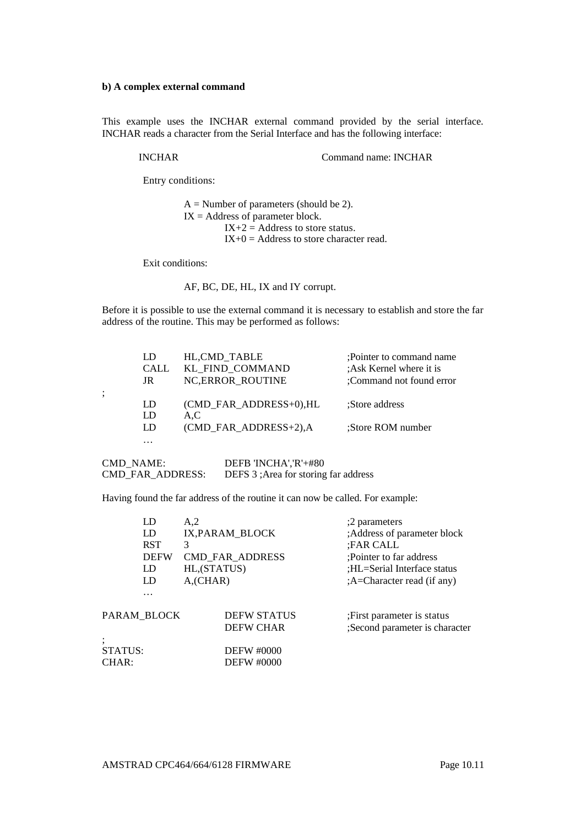## **b) A complex external command**

This example uses the INCHAR external command provided by the serial interface. INCHAR reads a character from the Serial Interface and has the following interface:

INCHAR Command name: INCHAR

Entry conditions:

 $A =$  Number of parameters (should be 2).  $IX = Address of parameter block.$  $IX+2 = Address$  to store status.  $IX+0 =$  Address to store character read.

Exit conditions:

;

AF, BC, DE, HL, IX and IY corrupt.

Before it is possible to use the external command it is necessary to establish and store the far address of the routine. This may be performed as follows:

| LD<br>CALL<br>JR | HL, CMD TABLE<br>KL FIND COMMAND<br><b>NC, ERROR ROUTINE</b> | :Pointer to command name<br>:Ask Kernel where it is<br>:Command not found error |
|------------------|--------------------------------------------------------------|---------------------------------------------------------------------------------|
| LD               | (CMD FAR ADDRESS+0), HL                                      | :Store address                                                                  |
| LD<br>LD         | A.C<br>(CMD FAR ADDRESS+2), A                                | :Store ROM number                                                               |
| $\cdots$         |                                                              |                                                                                 |

CMD\_NAME: DEFB 'INCHA', 'R'+#80<br>CMD\_FAR\_ADDRESS: DEFS 3 ; Area for storing DEFS 3 ;Area for storing far address

Having found the far address of the routine it can now be called. For example:

| LD          | A <sub>2</sub>            |             | :2 parameters                                                                                                                                 |
|-------------|---------------------------|-------------|-----------------------------------------------------------------------------------------------------------------------------------------------|
| LD          |                           |             | ;Address of parameter block                                                                                                                   |
| <b>RST</b>  | 3                         |             | :FAR CALL                                                                                                                                     |
| <b>DEFW</b> |                           |             | :Pointer to far address                                                                                                                       |
| LD          |                           |             | :HL=Serial Interface status                                                                                                                   |
| LD          | $A$ <sub>,</sub> $CHAR$ ) |             | :A=Character read (if any)                                                                                                                    |
| .           |                           |             |                                                                                                                                               |
|             |                           |             | : First parameter is status                                                                                                                   |
|             |                           |             | ;Second parameter is character                                                                                                                |
|             |                           |             |                                                                                                                                               |
|             |                           |             |                                                                                                                                               |
|             |                           |             |                                                                                                                                               |
|             | STATUS:                   | PARAM BLOCK | IX, PARAM_BLOCK<br><b>CMD_FAR_ADDRESS</b><br>HL, (STATUS)<br><b>DEFW STATUS</b><br><b>DEFW CHAR</b><br><b>DEFW #0000</b><br><b>DEFW #0000</b> |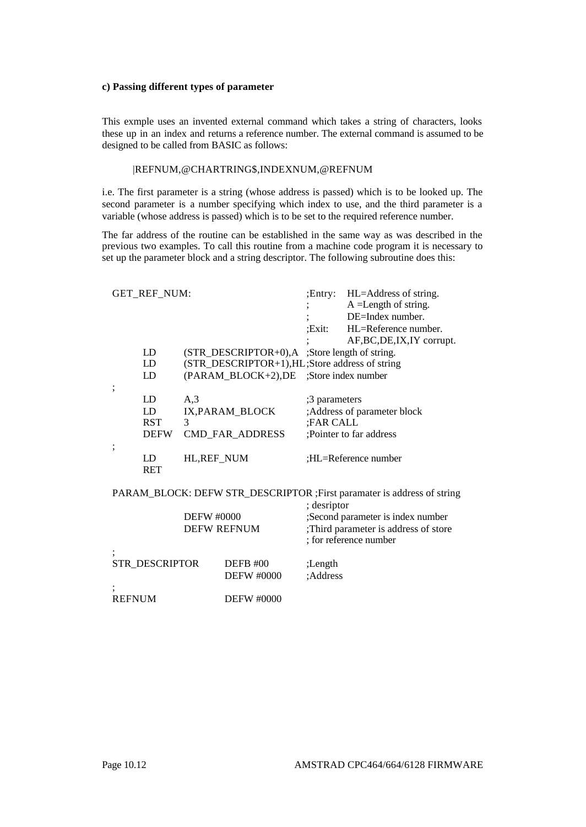# **c) Passing different types of parameter**

This exmple uses an invented external command which takes a string of characters, looks these up in an index and returns a reference number. The external command is assumed to be designed to be called from BASIC as follows:

## |REFNUM,@CHARTRING\$,INDEXNUM,@REFNUM

i.e. The first parameter is a string (whose address is passed) which is to be looked up. The second parameter is a number specifying which index to use, and the third parameter is a variable (whose address is passed) which is to be set to the required reference number.

The far address of the routine can be established in the same way as was described in the previous two examples. To call this routine from a machine code program it is necessary to set up the parameter block and a string descriptor. The following subroutine does this:

| <b>GET_REF_NUM:</b>                        |          |                                                                                                                          | :Exit:                     | ; Entry: HL=Address of string.<br>$A = Length of string.$<br>DE=Index number.<br>HL=Reference number.                                                                         |
|--------------------------------------------|----------|--------------------------------------------------------------------------------------------------------------------------|----------------------------|-------------------------------------------------------------------------------------------------------------------------------------------------------------------------------|
| LD<br>LD<br>LD                             |          | $(STR_DESCRIPTOR+0)$ , A ;Store length of string.<br>(STR_DESCRIPTOR+1),HL;Store address of string<br>(PARAM_BLOCK+2),DE |                            | AF, BC, DE, IX, IY corrupt.<br>;Store index number                                                                                                                            |
| ;<br>LD<br>LD<br><b>RST</b><br><b>DEFW</b> | A,3<br>3 | IX, PARAM BLOCK<br>CMD_FAR_ADDRESS                                                                                       | ;3 parameters<br>;FAR CALL | ;Address of parameter block<br>;Pointer to far address                                                                                                                        |
| $\ddot{\phantom{0}}$<br>LD<br><b>RET</b>   |          | HL, REF NUM                                                                                                              |                            | :HL=Reference number                                                                                                                                                          |
|                                            |          | <b>DEFW #0000</b><br><b>DEFW REFNUM</b>                                                                                  | ; desriptor                | PARAM_BLOCK: DEFW STR_DESCRIPTOR ;First paramater is address of string<br>;Second parameter is index number<br>;Third parameter is address of store<br>; for reference number |
| STR_DESCRIPTOR                             |          | <b>DEFB #00</b><br><b>DEFW #0000</b>                                                                                     | ;Length<br>;Address        |                                                                                                                                                                               |
| <b>REFNUM</b>                              |          | <b>DEFW #0000</b>                                                                                                        |                            |                                                                                                                                                                               |